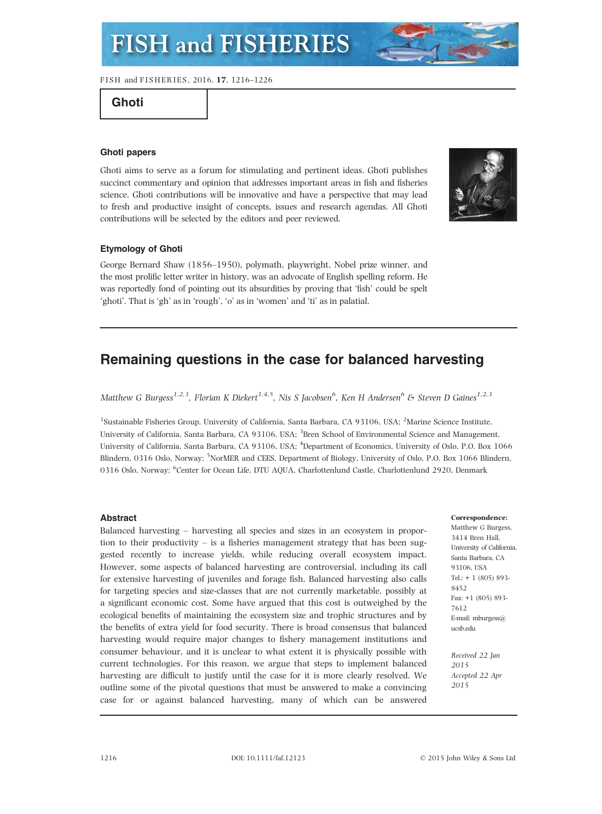# **FISH and FISHERIES**

FISH and FISHERIES, 2016, 17, 1216-1226

# Ghoti

#### Ghoti papers

Ghoti aims to serve as a forum for stimulating and pertinent ideas. Ghoti publishes succinct commentary and opinion that addresses important areas in fish and fisheries science. Ghoti contributions will be innovative and have a perspective that may lead to fresh and productive insight of concepts, issues and research agendas. All Ghoti contributions will be selected by the editors and peer reviewed.



#### Etymology of Ghoti

George Bernard Shaw (1856–1950), polymath, playwright, Nobel prize winner, and the most prolific letter writer in history, was an advocate of English spelling reform. He was reportedly fond of pointing out its absurdities by proving that 'fish' could be spelt 'ghoti'. That is 'gh' as in 'rough', 'o' as in 'women' and 'ti' as in palatial.

# Remaining questions in the case for balanced harvesting

Matthew G Burgess<sup>1,2,3</sup>, Florian K Diekert<sup>1,4,5</sup>, Nis S Jacobsen<sup>6</sup>, Ken H Andersen<sup>6</sup> & Steven D Gaines<sup>1,2,3</sup>

<sup>1</sup>Sustainable Fisheries Group, University of California, Santa Barbara, CA 93106, USA; <sup>2</sup>Marine Science Institute, University of California, Santa Barbara, CA 93106, USA; <sup>3</sup>Bren School of Environmental Science and Management, University of California, Santa Barbara, CA 93106, USA; <sup>4</sup> Department of Economics, University of Oslo, P.O. Box 1066 Blindern, 0316 Oslo, Norway; <sup>5</sup>NorMER and CEES, Department of Biology, University of Oslo, P.O. Box 1066 Blindern, 0316 Oslo, Norway; <sup>6</sup>Center for Ocean Life, DTU AQUA, Charlottenlund Castle, Charlottenlund 2920, Denmark

#### Abstract

Balanced harvesting – harvesting all species and sizes in an ecosystem in proportion to their productivity – is a fisheries management strategy that has been suggested recently to increase yields, while reducing overall ecosystem impact. However, some aspects of balanced harvesting are controversial, including its call for extensive harvesting of juveniles and forage fish. Balanced harvesting also calls for targeting species and size-classes that are not currently marketable, possibly at a significant economic cost. Some have argued that this cost is outweighed by the ecological benefits of maintaining the ecosystem size and trophic structures and by the benefits of extra yield for food security. There is broad consensus that balanced harvesting would require major changes to fishery management institutions and consumer behaviour, and it is unclear to what extent it is physically possible with current technologies. For this reason, we argue that steps to implement balanced harvesting are difficult to justify until the case for it is more clearly resolved. We outline some of the pivotal questions that must be answered to make a convincing case for or against balanced harvesting, many of which can be answered Correspondence: Matthew G Burgess 3414 Bren Hall, University of California, Santa Barbara, CA 93106, USA Tel.: + 1 (805) 893- 8452 Fax: +1 (805) 893- 7612 E-mail: mburgess@ ucsb.edu

Received 22 Jan 2015 Accepted 22 Apr 2015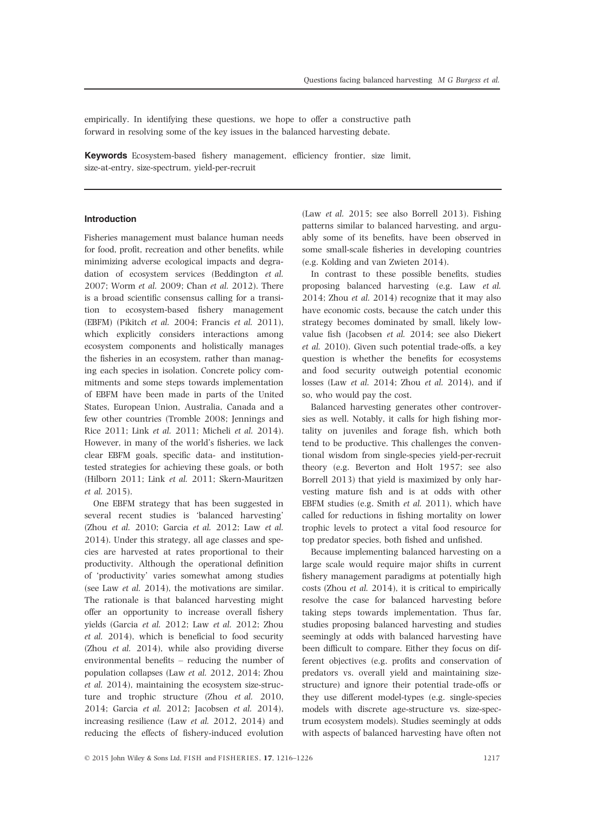empirically. In identifying these questions, we hope to offer a constructive path forward in resolving some of the key issues in the balanced harvesting debate.

Keywords Ecosystem-based fishery management, efficiency frontier, size limit, size-at-entry, size-spectrum, yield-per-recruit

#### Introduction

Fisheries management must balance human needs for food, profit, recreation and other benefits, while minimizing adverse ecological impacts and degradation of ecosystem services (Beddington et al. 2007; Worm et al. 2009; Chan et al. 2012). There is a broad scientific consensus calling for a transition to ecosystem-based fishery management (EBFM) (Pikitch et al. 2004; Francis et al. 2011), which explicitly considers interactions among ecosystem components and holistically manages the fisheries in an ecosystem, rather than managing each species in isolation. Concrete policy commitments and some steps towards implementation of EBFM have been made in parts of the United States, European Union, Australia, Canada and a few other countries (Tromble 2008; Jennings and Rice 2011; Link et al. 2011; Micheli et al. 2014). However, in many of the world's fisheries, we lack clear EBFM goals, specific data- and institutiontested strategies for achieving these goals, or both (Hilborn 2011; Link et al. 2011; Skern-Mauritzen et al. 2015).

One EBFM strategy that has been suggested in several recent studies is 'balanced harvesting' (Zhou et al. 2010; Garcia et al. 2012; Law et al. 2014). Under this strategy, all age classes and species are harvested at rates proportional to their productivity. Although the operational definition of 'productivity' varies somewhat among studies (see Law et al. 2014), the motivations are similar. The rationale is that balanced harvesting might offer an opportunity to increase overall fishery yields (Garcia et al. 2012; Law et al. 2012; Zhou et al. 2014), which is beneficial to food security (Zhou et al. 2014), while also providing diverse environmental benefits – reducing the number of population collapses (Law et al. 2012, 2014; Zhou et al. 2014), maintaining the ecosystem size-structure and trophic structure (Zhou et al. 2010, 2014; Garcia et al. 2012; Jacobsen et al. 2014), increasing resilience (Law et al. 2012, 2014) and reducing the effects of fishery-induced evolution

(Law et al. 2015; see also Borrell 2013). Fishing patterns similar to balanced harvesting, and arguably some of its benefits, have been observed in some small-scale fisheries in developing countries (e.g. Kolding and van Zwieten 2014).

In contrast to these possible benefits, studies proposing balanced harvesting (e.g. Law et al. 2014; Zhou et al. 2014) recognize that it may also have economic costs, because the catch under this strategy becomes dominated by small, likely lowvalue fish (Jacobsen et al. 2014; see also Diekert et al. 2010). Given such potential trade-offs, a key question is whether the benefits for ecosystems and food security outweigh potential economic losses (Law et al. 2014; Zhou et al. 2014), and if so, who would pay the cost.

Balanced harvesting generates other controversies as well. Notably, it calls for high fishing mortality on juveniles and forage fish, which both tend to be productive. This challenges the conventional wisdom from single-species yield-per-recruit theory (e.g. Beverton and Holt 1957; see also Borrell 2013) that yield is maximized by only harvesting mature fish and is at odds with other EBFM studies (e.g. Smith et al. 2011), which have called for reductions in fishing mortality on lower trophic levels to protect a vital food resource for top predator species, both fished and unfished.

Because implementing balanced harvesting on a large scale would require major shifts in current fishery management paradigms at potentially high costs (Zhou et al. 2014), it is critical to empirically resolve the case for balanced harvesting before taking steps towards implementation. Thus far, studies proposing balanced harvesting and studies seemingly at odds with balanced harvesting have been difficult to compare. Either they focus on different objectives (e.g. profits and conservation of predators vs. overall yield and maintaining sizestructure) and ignore their potential trade-offs or they use different model-types (e.g. single-species models with discrete age-structure vs. size-spectrum ecosystem models). Studies seemingly at odds with aspects of balanced harvesting have often not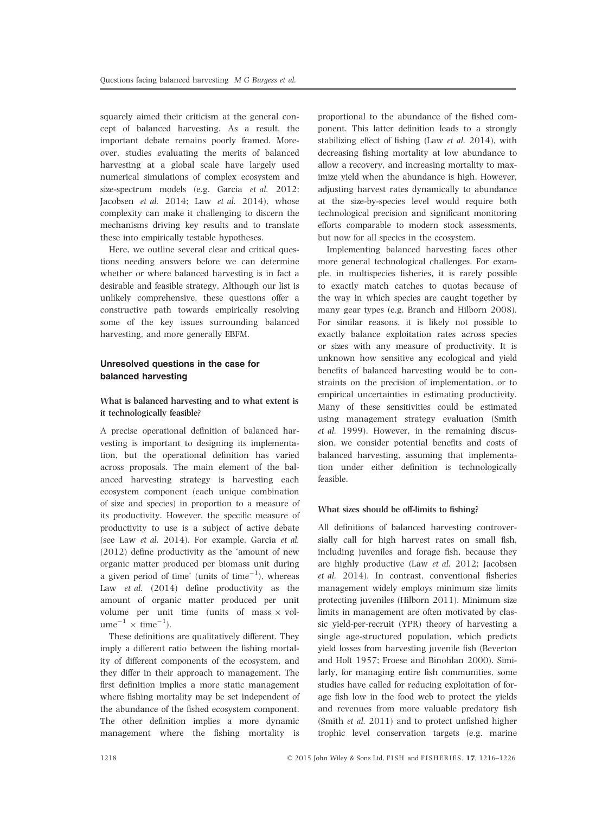squarely aimed their criticism at the general concept of balanced harvesting. As a result, the important debate remains poorly framed. Moreover, studies evaluating the merits of balanced harvesting at a global scale have largely used numerical simulations of complex ecosystem and size-spectrum models (e.g. Garcia et al. 2012; Jacobsen et al. 2014; Law et al. 2014), whose complexity can make it challenging to discern the mechanisms driving key results and to translate these into empirically testable hypotheses.

Here, we outline several clear and critical questions needing answers before we can determine whether or where balanced harvesting is in fact a desirable and feasible strategy. Although our list is unlikely comprehensive, these questions offer a constructive path towards empirically resolving some of the key issues surrounding balanced harvesting, and more generally EBFM.

# Unresolved questions in the case for balanced harvesting

## What is balanced harvesting and to what extent is it technologically feasible?

A precise operational definition of balanced harvesting is important to designing its implementation, but the operational definition has varied across proposals. The main element of the balanced harvesting strategy is harvesting each ecosystem component (each unique combination of size and species) in proportion to a measure of its productivity. However, the specific measure of productivity to use is a subject of active debate (see Law et al. 2014). For example, Garcia et al. (2012) define productivity as the 'amount of new organic matter produced per biomass unit during a given period of time' (units of time $^{-1}$ ), whereas Law et al. (2014) define productivity as the amount of organic matter produced per unit volume per unit time (units of mass  $\times$  volume<sup>-1</sup>  $\times$  time<sup>-1</sup>).

These definitions are qualitatively different. They imply a different ratio between the fishing mortality of different components of the ecosystem, and they differ in their approach to management. The first definition implies a more static management where fishing mortality may be set independent of the abundance of the fished ecosystem component. The other definition implies a more dynamic management where the fishing mortality is

proportional to the abundance of the fished component. This latter definition leads to a strongly stabilizing effect of fishing (Law et al. 2014), with decreasing fishing mortality at low abundance to allow a recovery, and increasing mortality to maximize yield when the abundance is high. However, adjusting harvest rates dynamically to abundance at the size-by-species level would require both technological precision and significant monitoring efforts comparable to modern stock assessments, but now for all species in the ecosystem.

Implementing balanced harvesting faces other more general technological challenges. For example, in multispecies fisheries, it is rarely possible to exactly match catches to quotas because of the way in which species are caught together by many gear types (e.g. Branch and Hilborn 2008). For similar reasons, it is likely not possible to exactly balance exploitation rates across species or sizes with any measure of productivity. It is unknown how sensitive any ecological and yield benefits of balanced harvesting would be to constraints on the precision of implementation, or to empirical uncertainties in estimating productivity. Many of these sensitivities could be estimated using management strategy evaluation (Smith et al. 1999). However, in the remaining discussion, we consider potential benefits and costs of balanced harvesting, assuming that implementation under either definition is technologically feasible.

#### What sizes should be off-limits to fishing?

All definitions of balanced harvesting controversially call for high harvest rates on small fish, including juveniles and forage fish, because they are highly productive (Law et al. 2012; Jacobsen et al. 2014). In contrast, conventional fisheries management widely employs minimum size limits protecting juveniles (Hilborn 2011). Minimum size limits in management are often motivated by classic yield-per-recruit (YPR) theory of harvesting a single age-structured population, which predicts yield losses from harvesting juvenile fish (Beverton and Holt 1957; Froese and Binohlan 2000). Similarly, for managing entire fish communities, some studies have called for reducing exploitation of forage fish low in the food web to protect the yields and revenues from more valuable predatory fish (Smith et al. 2011) and to protect unfished higher trophic level conservation targets (e.g. marine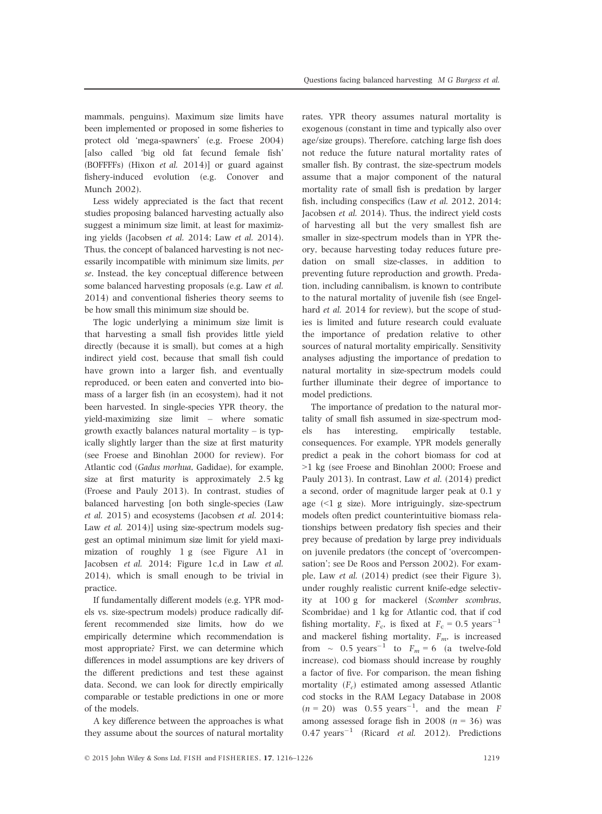mammals, penguins). Maximum size limits have been implemented or proposed in some fisheries to protect old 'mega-spawners' (e.g. Froese 2004) [also called 'big old fat fecund female fish' (BOFFFFs) (Hixon et al. 2014)] or guard against fishery-induced evolution (e.g. Conover and Munch 2002).

Less widely appreciated is the fact that recent studies proposing balanced harvesting actually also suggest a minimum size limit, at least for maximizing yields (Jacobsen et al. 2014; Law et al. 2014). Thus, the concept of balanced harvesting is not necessarily incompatible with minimum size limits, per se. Instead, the key conceptual difference between some balanced harvesting proposals (e.g. Law et al. 2014) and conventional fisheries theory seems to be how small this minimum size should be.

The logic underlying a minimum size limit is that harvesting a small fish provides little yield directly (because it is small), but comes at a high indirect yield cost, because that small fish could have grown into a larger fish, and eventually reproduced, or been eaten and converted into biomass of a larger fish (in an ecosystem), had it not been harvested. In single-species YPR theory, the yield-maximizing size limit – where somatic growth exactly balances natural mortality – is typically slightly larger than the size at first maturity (see Froese and Binohlan 2000 for review). For Atlantic cod (Gadus morhua, Gadidae), for example, size at first maturity is approximately 2.5 kg (Froese and Pauly 2013). In contrast, studies of balanced harvesting [on both single-species (Law et al. 2015) and ecosystems (Jacobsen et al. 2014; Law et al. 2014)] using size-spectrum models suggest an optimal minimum size limit for yield maximization of roughly 1 g (see Figure A1 in Jacobsen et al. 2014; Figure 1c,d in Law et al. 2014), which is small enough to be trivial in practice.

If fundamentally different models (e.g. YPR models vs. size-spectrum models) produce radically different recommended size limits, how do we empirically determine which recommendation is most appropriate? First, we can determine which differences in model assumptions are key drivers of the different predictions and test these against data. Second, we can look for directly empirically comparable or testable predictions in one or more of the models.

A key difference between the approaches is what they assume about the sources of natural mortality

rates. YPR theory assumes natural mortality is exogenous (constant in time and typically also over age/size groups). Therefore, catching large fish does not reduce the future natural mortality rates of smaller fish. By contrast, the size-spectrum models assume that a major component of the natural mortality rate of small fish is predation by larger fish, including conspecifics (Law et al. 2012, 2014; Jacobsen et al. 2014). Thus, the indirect yield costs of harvesting all but the very smallest fish are smaller in size-spectrum models than in YPR theory, because harvesting today reduces future predation on small size-classes, in addition to preventing future reproduction and growth. Predation, including cannibalism, is known to contribute to the natural mortality of juvenile fish (see Engelhard et al. 2014 for review), but the scope of studies is limited and future research could evaluate the importance of predation relative to other sources of natural mortality empirically. Sensitivity analyses adjusting the importance of predation to natural mortality in size-spectrum models could further illuminate their degree of importance to model predictions.

The importance of predation to the natural mortality of small fish assumed in size-spectrum models has interesting, empirically testable, consequences. For example, YPR models generally predict a peak in the cohort biomass for cod at >1 kg (see Froese and Binohlan 2000; Froese and Pauly 2013). In contrast, Law et al. (2014) predict a second, order of magnitude larger peak at 0.1 y age (<1 g size). More intriguingly, size-spectrum models often predict counterintuitive biomass relationships between predatory fish species and their prey because of predation by large prey individuals on juvenile predators (the concept of 'overcompensation'; see De Roos and Persson 2002). For example, Law et al. (2014) predict (see their Figure 3), under roughly realistic current knife-edge selectivity at 100 g for mackerel (Scomber scombrus, Scombridae) and 1 kg for Atlantic cod, that if cod fishing mortality,  $F_c$ , is fixed at  $F_c = 0.5 \text{ years}^{-1}$ and mackerel fishing mortality,  $F_m$ , is increased from  $\sim$  0.5 years<sup>-1</sup> to  $F_m = 6$  (a twelve-fold increase), cod biomass should increase by roughly a factor of five. For comparison, the mean fishing mortality  $(F_c)$  estimated among assessed Atlantic cod stocks in the RAM Legacy Database in 2008  $(n = 20)$  was 0.55 years<sup>-1</sup>, and the mean F among assessed forage fish in 2008 ( $n = 36$ ) was  $0.47$  years<sup>-1</sup> (Ricard *et al.* 2012). Predictions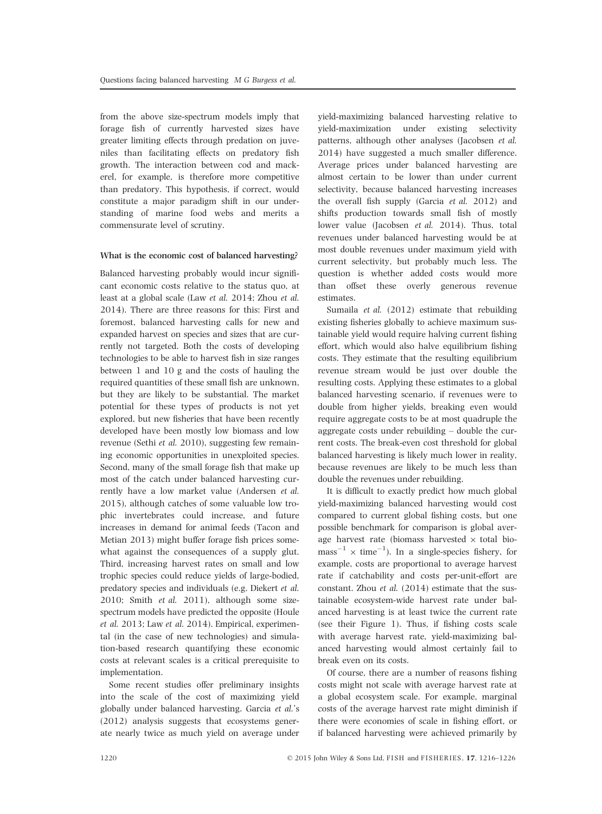from the above size-spectrum models imply that forage fish of currently harvested sizes have greater limiting effects through predation on juveniles than facilitating effects on predatory fish growth. The interaction between cod and mackerel, for example, is therefore more competitive than predatory. This hypothesis, if correct, would constitute a major paradigm shift in our understanding of marine food webs and merits a commensurate level of scrutiny.

#### What is the economic cost of balanced harvesting?

Balanced harvesting probably would incur significant economic costs relative to the status quo, at least at a global scale (Law et al. 2014; Zhou et al. 2014). There are three reasons for this: First and foremost, balanced harvesting calls for new and expanded harvest on species and sizes that are currently not targeted. Both the costs of developing technologies to be able to harvest fish in size ranges between 1 and 10 g and the costs of hauling the required quantities of these small fish are unknown, but they are likely to be substantial. The market potential for these types of products is not yet explored, but new fisheries that have been recently developed have been mostly low biomass and low revenue (Sethi et al. 2010), suggesting few remaining economic opportunities in unexploited species. Second, many of the small forage fish that make up most of the catch under balanced harvesting currently have a low market value (Andersen et al. 2015), although catches of some valuable low trophic invertebrates could increase, and future increases in demand for animal feeds (Tacon and Metian 2013) might buffer forage fish prices somewhat against the consequences of a supply glut. Third, increasing harvest rates on small and low trophic species could reduce yields of large-bodied, predatory species and individuals (e.g. Diekert et al. 2010; Smith et al. 2011), although some sizespectrum models have predicted the opposite (Houle et al. 2013; Law et al. 2014). Empirical, experimental (in the case of new technologies) and simulation-based research quantifying these economic costs at relevant scales is a critical prerequisite to implementation.

Some recent studies offer preliminary insights into the scale of the cost of maximizing yield globally under balanced harvesting. Garcia et al.'s (2012) analysis suggests that ecosystems generate nearly twice as much yield on average under

yield-maximizing balanced harvesting relative to yield-maximization under existing selectivity patterns, although other analyses (Jacobsen et al. 2014) have suggested a much smaller difference. Average prices under balanced harvesting are almost certain to be lower than under current selectivity, because balanced harvesting increases the overall fish supply (Garcia et al. 2012) and shifts production towards small fish of mostly lower value (Jacobsen et al. 2014). Thus, total revenues under balanced harvesting would be at most double revenues under maximum yield with current selectivity, but probably much less. The question is whether added costs would more than offset these overly generous revenue estimates.

Sumaila et al. (2012) estimate that rebuilding existing fisheries globally to achieve maximum sustainable yield would require halving current fishing effort, which would also halve equilibrium fishing costs. They estimate that the resulting equilibrium revenue stream would be just over double the resulting costs. Applying these estimates to a global balanced harvesting scenario, if revenues were to double from higher yields, breaking even would require aggregate costs to be at most quadruple the aggregate costs under rebuilding – double the current costs. The break-even cost threshold for global balanced harvesting is likely much lower in reality, because revenues are likely to be much less than double the revenues under rebuilding.

It is difficult to exactly predict how much global yield-maximizing balanced harvesting would cost compared to current global fishing costs, but one possible benchmark for comparison is global average harvest rate (biomass harvested  $\times$  total bio $mass^{-1} \times time^{-1}$ ). In a single-species fishery, for example, costs are proportional to average harvest rate if catchability and costs per-unit-effort are constant. Zhou et al. (2014) estimate that the sustainable ecosystem-wide harvest rate under balanced harvesting is at least twice the current rate (see their Figure 1). Thus, if fishing costs scale with average harvest rate, yield-maximizing balanced harvesting would almost certainly fail to break even on its costs.

Of course, there are a number of reasons fishing costs might not scale with average harvest rate at a global ecosystem scale. For example, marginal costs of the average harvest rate might diminish if there were economies of scale in fishing effort, or if balanced harvesting were achieved primarily by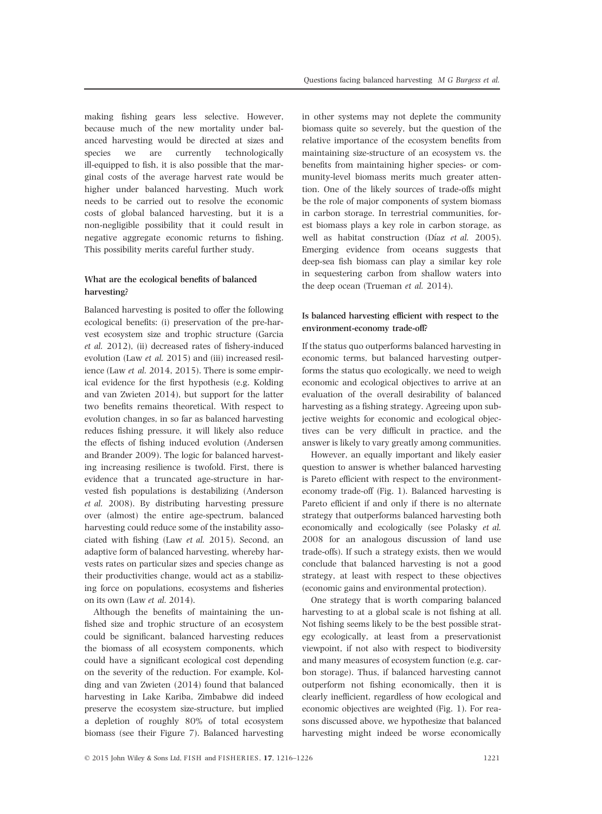making fishing gears less selective. However, because much of the new mortality under balanced harvesting would be directed at sizes and species we are currently technologically ill-equipped to fish, it is also possible that the marginal costs of the average harvest rate would be higher under balanced harvesting. Much work needs to be carried out to resolve the economic costs of global balanced harvesting, but it is a non-negligible possibility that it could result in negative aggregate economic returns to fishing. This possibility merits careful further study.

# What are the ecological benefits of balanced harvesting?

Balanced harvesting is posited to offer the following ecological benefits: (i) preservation of the pre-harvest ecosystem size and trophic structure (Garcia et al. 2012), (ii) decreased rates of fishery-induced evolution (Law et al. 2015) and (iii) increased resilience (Law et al. 2014, 2015). There is some empirical evidence for the first hypothesis (e.g. Kolding and van Zwieten 2014), but support for the latter two benefits remains theoretical. With respect to evolution changes, in so far as balanced harvesting reduces fishing pressure, it will likely also reduce the effects of fishing induced evolution (Andersen and Brander 2009). The logic for balanced harvesting increasing resilience is twofold. First, there is evidence that a truncated age-structure in harvested fish populations is destabilizing (Anderson et al. 2008). By distributing harvesting pressure over (almost) the entire age-spectrum, balanced harvesting could reduce some of the instability associated with fishing (Law et al. 2015). Second, an adaptive form of balanced harvesting, whereby harvests rates on particular sizes and species change as their productivities change, would act as a stabilizing force on populations, ecosystems and fisheries on its own (Law et al. 2014).

Although the benefits of maintaining the unfished size and trophic structure of an ecosystem could be significant, balanced harvesting reduces the biomass of all ecosystem components, which could have a significant ecological cost depending on the severity of the reduction. For example, Kolding and van Zwieten (2014) found that balanced harvesting in Lake Kariba, Zimbabwe did indeed preserve the ecosystem size-structure, but implied a depletion of roughly 80% of total ecosystem biomass (see their Figure 7). Balanced harvesting in other systems may not deplete the community biomass quite so severely, but the question of the relative importance of the ecosystem benefits from maintaining size-structure of an ecosystem vs. the benefits from maintaining higher species- or community-level biomass merits much greater attention. One of the likely sources of trade-offs might be the role of major components of system biomass in carbon storage. In terrestrial communities, forest biomass plays a key role in carbon storage, as well as habitat construction (Díaz et al. 2005). Emerging evidence from oceans suggests that deep-sea fish biomass can play a similar key role in sequestering carbon from shallow waters into the deep ocean (Trueman et al. 2014).

# Is balanced harvesting efficient with respect to the environment-economy trade-off?

If the status quo outperforms balanced harvesting in economic terms, but balanced harvesting outperforms the status quo ecologically, we need to weigh economic and ecological objectives to arrive at an evaluation of the overall desirability of balanced harvesting as a fishing strategy. Agreeing upon subjective weights for economic and ecological objectives can be very difficult in practice, and the answer is likely to vary greatly among communities.

However, an equally important and likely easier question to answer is whether balanced harvesting is Pareto efficient with respect to the environmenteconomy trade-off (Fig. 1). Balanced harvesting is Pareto efficient if and only if there is no alternate strategy that outperforms balanced harvesting both economically and ecologically (see Polasky et al. 2008 for an analogous discussion of land use trade-offs). If such a strategy exists, then we would conclude that balanced harvesting is not a good strategy, at least with respect to these objectives (economic gains and environmental protection).

One strategy that is worth comparing balanced harvesting to at a global scale is not fishing at all. Not fishing seems likely to be the best possible strategy ecologically, at least from a preservationist viewpoint, if not also with respect to biodiversity and many measures of ecosystem function (e.g. carbon storage). Thus, if balanced harvesting cannot outperform not fishing economically, then it is clearly inefficient, regardless of how ecological and economic objectives are weighted (Fig. 1). For reasons discussed above, we hypothesize that balanced harvesting might indeed be worse economically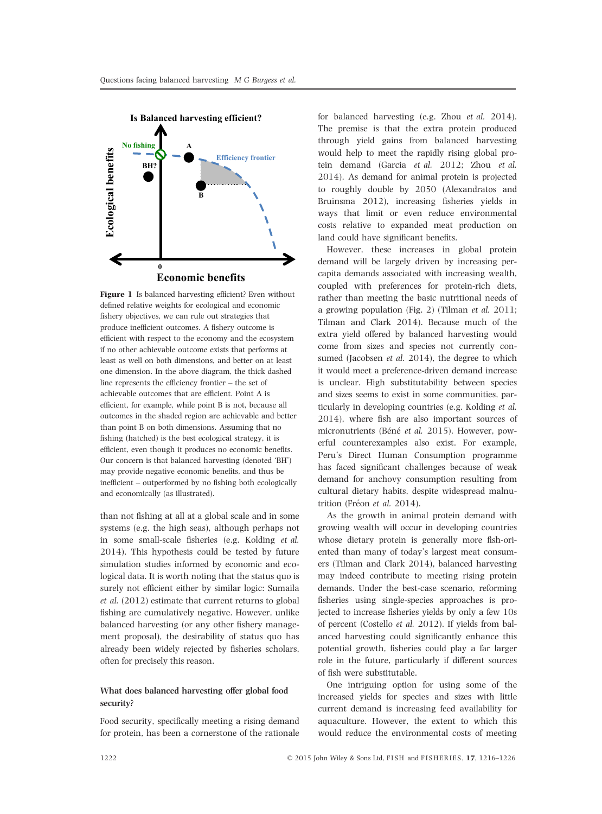

Figure 1 Is balanced harvesting efficient? Even without defined relative weights for ecological and economic fishery objectives, we can rule out strategies that produce inefficient outcomes. A fishery outcome is efficient with respect to the economy and the ecosystem if no other achievable outcome exists that performs at least as well on both dimensions, and better on at least one dimension. In the above diagram, the thick dashed line represents the efficiency frontier – the set of achievable outcomes that are efficient. Point A is efficient, for example, while point B is not, because all outcomes in the shaded region are achievable and better than point B on both dimensions. Assuming that no fishing (hatched) is the best ecological strategy, it is efficient, even though it produces no economic benefits. Our concern is that balanced harvesting (denoted 'BH') may provide negative economic benefits, and thus be inefficient – outperformed by no fishing both ecologically and economically (as illustrated).

than not fishing at all at a global scale and in some systems (e.g. the high seas), although perhaps not in some small-scale fisheries (e.g. Kolding et al. 2014). This hypothesis could be tested by future simulation studies informed by economic and ecological data. It is worth noting that the status quo is surely not efficient either by similar logic: Sumaila et al. (2012) estimate that current returns to global fishing are cumulatively negative. However, unlike balanced harvesting (or any other fishery management proposal), the desirability of status quo has already been widely rejected by fisheries scholars, often for precisely this reason.

# What does balanced harvesting offer global food security?

Food security, specifically meeting a rising demand for protein, has been a cornerstone of the rationale for balanced harvesting (e.g. Zhou et al. 2014). The premise is that the extra protein produced through yield gains from balanced harvesting would help to meet the rapidly rising global protein demand (Garcia et al. 2012; Zhou et al. 2014). As demand for animal protein is projected to roughly double by 2050 (Alexandratos and Bruinsma 2012), increasing fisheries yields in ways that limit or even reduce environmental costs relative to expanded meat production on land could have significant benefits.

However, these increases in global protein demand will be largely driven by increasing percapita demands associated with increasing wealth, coupled with preferences for protein-rich diets, rather than meeting the basic nutritional needs of a growing population (Fig. 2) (Tilman et al. 2011; Tilman and Clark 2014). Because much of the extra yield offered by balanced harvesting would come from sizes and species not currently consumed (Jacobsen *et al.* 2014), the degree to which it would meet a preference-driven demand increase is unclear. High substitutability between species and sizes seems to exist in some communities, particularly in developing countries (e.g. Kolding et al. 2014), where fish are also important sources of micronutrients (Béné et al. 2015). However, powerful counterexamples also exist. For example, Peru's Direct Human Consumption programme has faced significant challenges because of weak demand for anchovy consumption resulting from cultural dietary habits, despite widespread malnutrition (Fréon et al. 2014).

As the growth in animal protein demand with growing wealth will occur in developing countries whose dietary protein is generally more fish-oriented than many of today's largest meat consumers (Tilman and Clark 2014), balanced harvesting may indeed contribute to meeting rising protein demands. Under the best-case scenario, reforming fisheries using single-species approaches is projected to increase fisheries yields by only a few 10s of percent (Costello et al. 2012). If yields from balanced harvesting could significantly enhance this potential growth, fisheries could play a far larger role in the future, particularly if different sources of fish were substitutable.

One intriguing option for using some of the increased yields for species and sizes with little current demand is increasing feed availability for aquaculture. However, the extent to which this would reduce the environmental costs of meeting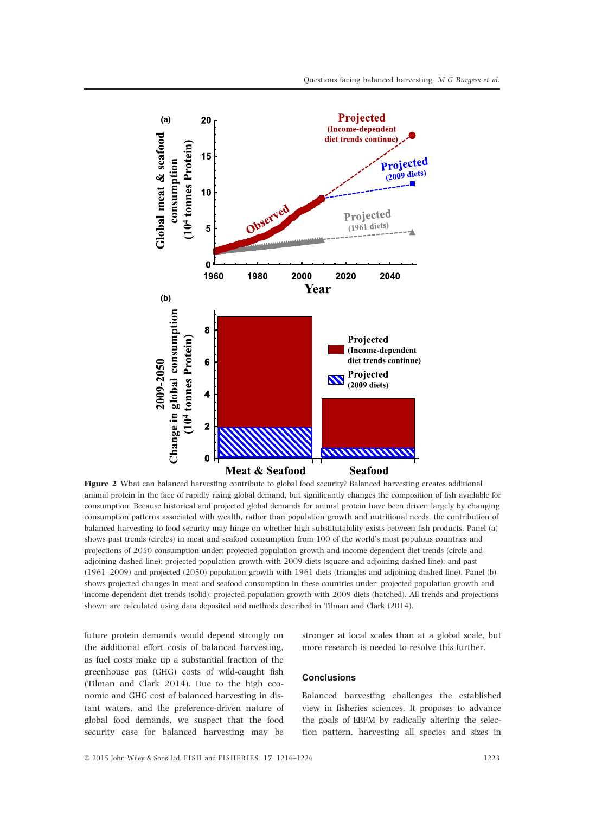

Figure 2 What can balanced harvesting contribute to global food security? Balanced harvesting creates additional animal protein in the face of rapidly rising global demand, but significantly changes the composition of fish available for consumption. Because historical and projected global demands for animal protein have been driven largely by changing consumption patterns associated with wealth, rather than population growth and nutritional needs, the contribution of balanced harvesting to food security may hinge on whether high substitutability exists between fish products. Panel (a) shows past trends (circles) in meat and seafood consumption from 100 of the world's most populous countries and projections of 2050 consumption under: projected population growth and income-dependent diet trends (circle and adjoining dashed line); projected population growth with 2009 diets (square and adjoining dashed line); and past (1961–2009) and projected (2050) population growth with 1961 diets (triangles and adjoining dashed line). Panel (b) shows projected changes in meat and seafood consumption in these countries under: projected population growth and income-dependent diet trends (solid); projected population growth with 2009 diets (hatched). All trends and projections shown are calculated using data deposited and methods described in Tilman and Clark (2014).

future protein demands would depend strongly on the additional effort costs of balanced harvesting, as fuel costs make up a substantial fraction of the greenhouse gas (GHG) costs of wild-caught fish (Tilman and Clark 2014). Due to the high economic and GHG cost of balanced harvesting in distant waters, and the preference-driven nature of global food demands, we suspect that the food security case for balanced harvesting may be

stronger at local scales than at a global scale, but more research is needed to resolve this further.

# **Conclusions**

Balanced harvesting challenges the established view in fisheries sciences. It proposes to advance the goals of EBFM by radically altering the selection pattern, harvesting all species and sizes in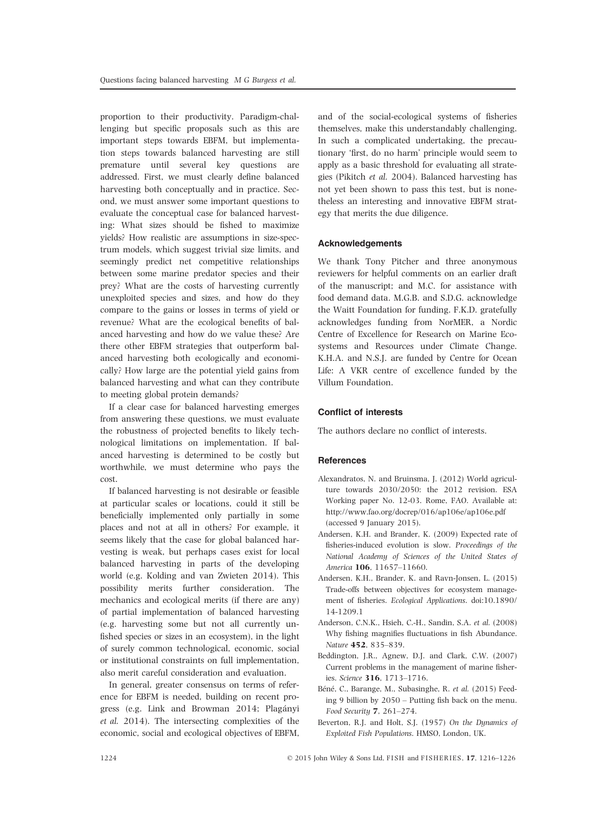proportion to their productivity. Paradigm-challenging but specific proposals such as this are important steps towards EBFM, but implementation steps towards balanced harvesting are still premature until several key questions are addressed. First, we must clearly define balanced harvesting both conceptually and in practice. Second, we must answer some important questions to evaluate the conceptual case for balanced harvesting: What sizes should be fished to maximize yields? How realistic are assumptions in size-spectrum models, which suggest trivial size limits, and seemingly predict net competitive relationships between some marine predator species and their prey? What are the costs of harvesting currently unexploited species and sizes, and how do they compare to the gains or losses in terms of yield or revenue? What are the ecological benefits of balanced harvesting and how do we value these? Are there other EBFM strategies that outperform balanced harvesting both ecologically and economically? How large are the potential yield gains from balanced harvesting and what can they contribute to meeting global protein demands?

If a clear case for balanced harvesting emerges from answering these questions, we must evaluate the robustness of projected benefits to likely technological limitations on implementation. If balanced harvesting is determined to be costly but worthwhile, we must determine who pays the cost.

If balanced harvesting is not desirable or feasible at particular scales or locations, could it still be beneficially implemented only partially in some places and not at all in others? For example, it seems likely that the case for global balanced harvesting is weak, but perhaps cases exist for local balanced harvesting in parts of the developing world (e.g. Kolding and van Zwieten 2014). This possibility merits further consideration. The mechanics and ecological merits (if there are any) of partial implementation of balanced harvesting (e.g. harvesting some but not all currently unfished species or sizes in an ecosystem), in the light of surely common technological, economic, social or institutional constraints on full implementation, also merit careful consideration and evaluation.

In general, greater consensus on terms of reference for EBFM is needed, building on recent progress (e.g. Link and Browman 2014; Plaganyi et al. 2014). The intersecting complexities of the economic, social and ecological objectives of EBFM,

and of the social-ecological systems of fisheries themselves, make this understandably challenging. In such a complicated undertaking, the precautionary 'first, do no harm' principle would seem to apply as a basic threshold for evaluating all strategies (Pikitch et al. 2004). Balanced harvesting has not yet been shown to pass this test, but is nonetheless an interesting and innovative EBFM strategy that merits the due diligence.

#### Acknowledgements

We thank Tony Pitcher and three anonymous reviewers for helpful comments on an earlier draft of the manuscript; and M.C. for assistance with food demand data. M.G.B. and S.D.G. acknowledge the Waitt Foundation for funding. F.K.D. gratefully acknowledges funding from NorMER, a Nordic Centre of Excellence for Research on Marine Ecosystems and Resources under Climate Change. K.H.A. and N.S.J. are funded by Centre for Ocean Life: A VKR centre of excellence funded by the Villum Foundation.

#### Conflict of interests

The authors declare no conflict of interests.

#### **References**

- Alexandratos, N. and Bruinsma, J. (2012) World agriculture towards 2030/2050: the 2012 revision. ESA Working paper No. 12-03. Rome, FAO. Available at: <http://www.fao.org/docrep/016/ap106e/ap106e.pdf> (accessed 9 January 2015).
- Andersen, K.H. and Brander, K. (2009) Expected rate of fisheries-induced evolution is slow. Proceedings of the National Academy of Sciences of the United States of America 106, 11657–11660.
- Andersen, K.H., Brander, K. and Ravn-Jonsen, L. (2015) Trade-offs between objectives for ecosystem management of fisheries. Ecological Applications. doi:[10.1890/](http://dx.doi.org/10.1890/14-1209.1) [14-1209.1](http://dx.doi.org/10.1890/14-1209.1)
- Anderson, C.N.K., Hsieh, C.-H., Sandin, S.A. et al. (2008) Why fishing magnifies fluctuations in fish Abundance. Nature 452, 835–839.
- Beddington, J.R., Agnew, D.J. and Clark, C.W. (2007) Current problems in the management of marine fisheries. Science 316, 1713–1716.
- Béné, C., Barange, M., Subasinghe, R. et al. (2015) Feeding 9 billion by 2050 – Putting fish back on the menu. Food Security 7, 261–274.
- Beverton, R.J. and Holt, S.J. (1957) On the Dynamics of Exploited Fish Populations. HMSO, London, UK.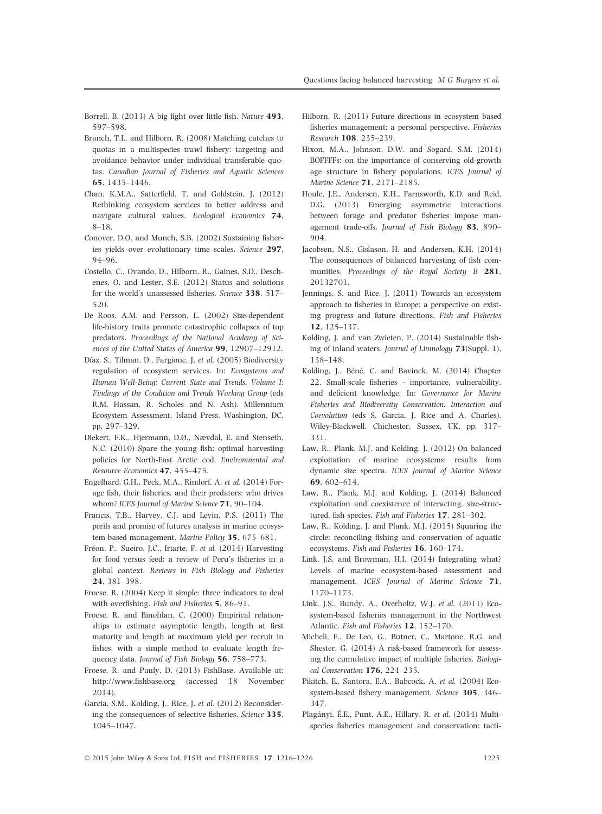- Borrell, B. (2013) A big fight over little fish. Nature 493, 597–598.
- Branch, T.L. and Hilborn, R. (2008) Matching catches to quotas in a multispecies trawl fishery: targeting and avoidance behavior under individual transferable quotas. Canadian Journal of Fisheries and Aquatic Sciences 65, 1435–1446.
- Chan, K.M.A., Satterfield, T. and Goldstein, J. (2012) Rethinking ecosystem services to better address and navigate cultural values. Ecological Economics 74, 8–18.
- Conover, D.O. and Munch, S.B. (2002) Sustaining fisheries yields over evolutionary time scales. Science 297, 94–96.
- Costello, C., Ovando, D., Hilborn, R., Gaines, S.D., Deschenes, O. and Lester, S.E. (2012) Status and solutions for the world's unassessed fisheries. Science 338, 517– 520.
- De Roos, A.M. and Persson, L. (2002) Size-dependent life-history traits promote catastrophic collapses of top predators. Proceedings of the National Academy of Sciences of the United States of America 99, 12907–12912.
- Díaz, S., Tilman, D., Fargione, J. et al. (2005) Biodiversity regulation of ecosystem services. In: Ecosystems and Human Well-Being: Current State and Trends, Volume I: Findings of the Condition and Trends Working Group (eds R.M. Hassan, R. Scholes and N. Ash). Millennium Ecosystem Assessment, Island Press, Washington, DC, pp. 297–329.
- Diekert, F.K., Hjermann, D.Ø., Nævdal, E. and Stenseth, N.C. (2010) Spare the young fish: optimal harvesting policies for North-East Arctic cod. Environmental and Resource Economics 47, 455–475.
- Engelhard, G.H., Peck, M.A., Rindorf, A. et al. (2014) Forage fish, their fisheries, and their predators: who drives whom? ICES Journal of Marine Science 71, 90–104.
- Francis, T.B., Harvey, C.J. and Levin, P.S. (2011) The perils and promise of futures analysis in marine ecosystem-based management. Marine Policy 35, 675–681.
- Fréon, P., Sueiro, J.C., Iriarte, F. et al. (2014) Harvesting for food versus feed: a review of Peru's fisheries in a global context. Reviews in Fish Biology and Fisheries 24, 381–398.
- Froese, R. (2004) Keep it simple: three indicators to deal with overfishing. Fish and Fisheries 5, 86–91.
- Froese, R. and Binohlan, C. (2000) Empirical relationships to estimate asymptotic length, length at first maturity and length at maximum yield per recruit in fishes, with a simple method to evaluate length frequency data. Journal of Fish Biology 56, 758–773.
- Froese, R. and Pauly, D. (2013) FishBase. Available at: <http://www.fishbase.org> (accessed 18 November 2014).
- Garcia, S.M., Kolding, J., Rice, J. et al. (2012) Reconsidering the consequences of selective fisheries. Science 335, 1045–1047.
- Hilborn, R. (2011) Future directions in ecosystem based fisheries management: a personal perspective. Fisheries Research 108, 235–239.
- Hixon, M.A., Johnson, D.W. and Sogard, S.M. (2014) BOFFFFs: on the importance of conserving old-growth age structure in fishery populations. ICES Journal of Marine Science 71, 2171–2185.
- Houle, J.E., Andersen, K.H., Farnsworth, K.D. and Reid, D.G. (2013) Emerging asymmetric interactions between forage and predator fisheries impose management trade-offs. Journal of Fish Biology 83, 890– 904.
- Jacobsen, N.S., Gislason, H. and Andersen, K.H. (2014) The consequences of balanced harvesting of fish communities. Proceedings of the Royal Society B 281, 20132701.
- Jennings, S. and Rice, J. (2011) Towards an ecosystem approach to fisheries in Europe: a perspective on existing progress and future directions. Fish and Fisheries 12, 125–137.
- Kolding, J. and van Zwieten, P. (2014) Sustainable fishing of inland waters. Journal of Limnology 73(Suppl. 1), 138–148.
- Kolding, J., Béné, C. and Bavinck, M. (2014) Chapter 22. Small-scale fisheries - importance, vulnerability, and deficient knowledge. In: Governance for Marine Fisheries and Biodiversity Conservation. Interaction and Coevolution (eds S. Garcia, J. Rice and A. Charles). Wiley-Blackwell, Chichester, Sussex, UK, pp. 317– 331.
- Law, R., Plank, M.J. and Kolding, J. (2012) On balanced exploitation of marine ecosystems: results from dynamic size spectra. ICES Journal of Marine Science 69, 602–614.
- Law, R., Plank, M.J. and Kolding, J. (2014) Balanced exploitation and coexistence of interacting, size-structured, fish species. Fish and Fisheries 17, 281–302.
- Law, R., Kolding, J. and Plank, M.J. (2015) Squaring the circle: reconciling fishing and conservation of aquatic ecosystems. Fish and Fisheries 16, 160–174.
- Link, J.S. and Browman, H.I. (2014) Integrating what? Levels of marine ecosystem-based assessment and management. ICES Journal of Marine Science 71, 1170–1173.
- Link, J.S., Bundy, A., Overholtz, W.J. et al. (2011) Ecosystem-based fisheries management in the Northwest Atlantic. Fish and Fisheries 12, 152–170.
- Micheli, F., De Leo, G., Butner, C., Martone, R.G. and Shester, G. (2014) A risk-based framework for assessing the cumulative impact of multiple fisheries. Biological Conservation 176, 224–235.
- Pikitch, E., Santora, E.A., Babcock, A. et al. (2004) Ecosystem-based fishery management. Science 305, 346– 347.
- Plagányi, É.E., Punt, A.E., Hillary, R. et al. (2014) Multispecies fisheries management and conservation: tacti-